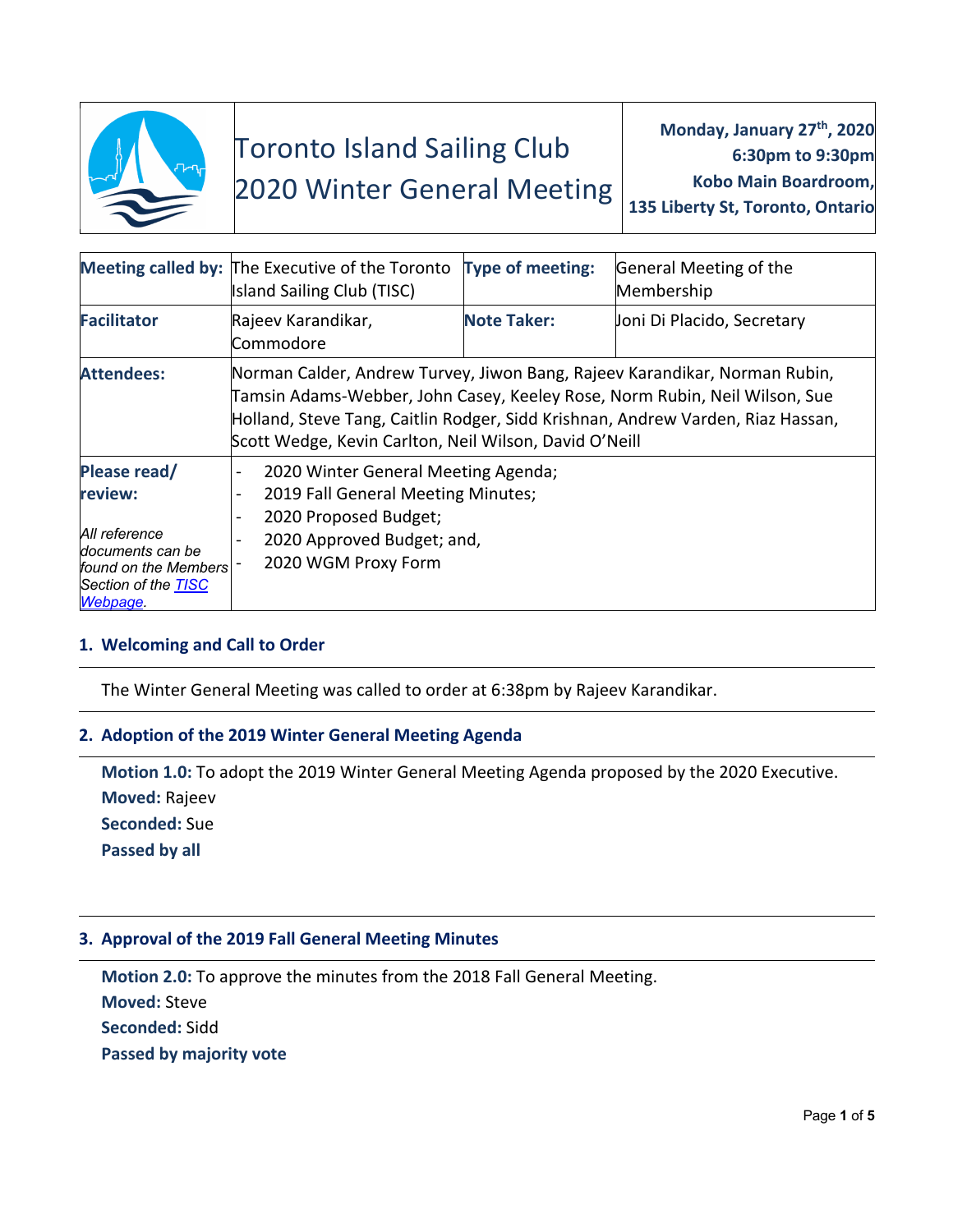

# Toronto Island Sailing Club

# 2020 Winter General Meeting

**Monday, January 27th, 2020 6:30pm to 9:30pm Kobo Main Boardroom, 135 Liberty St, Toronto, Ontario**

|                                                                                                                         | Meeting called by: The Executive of the Toronto<br><b>Island Sailing Club (TISC)</b>                                                                                                                                                                                                                  | <b>Type of meeting:</b> | General Meeting of the<br>Membership |
|-------------------------------------------------------------------------------------------------------------------------|-------------------------------------------------------------------------------------------------------------------------------------------------------------------------------------------------------------------------------------------------------------------------------------------------------|-------------------------|--------------------------------------|
| <b>Facilitator</b>                                                                                                      | Rajeev Karandikar,<br>Commodore                                                                                                                                                                                                                                                                       | <b>Note Taker:</b>      | Joni Di Placido, Secretary           |
| <b>Attendees:</b>                                                                                                       | Norman Calder, Andrew Turvey, Jiwon Bang, Rajeev Karandikar, Norman Rubin,<br>Tamsin Adams-Webber, John Casey, Keeley Rose, Norm Rubin, Neil Wilson, Sue<br>Holland, Steve Tang, Caitlin Rodger, Sidd Krishnan, Andrew Varden, Riaz Hassan,<br>Scott Wedge, Kevin Carlton, Neil Wilson, David O'Neill |                         |                                      |
| Please read/<br>review:<br>All reference<br>documents can be<br>found on the Members<br>Section of the TISC<br>Webpage. | 2020 Winter General Meeting Agenda;<br>2019 Fall General Meeting Minutes;<br>$\overline{\phantom{0}}$<br>2020 Proposed Budget;<br>2020 Approved Budget; and,<br>2020 WGM Proxy Form                                                                                                                   |                         |                                      |

# **1. Welcoming and Call to Order**

The Winter General Meeting was called to order at 6:38pm by Rajeev Karandikar.

# **2. Adoption of the 2019 Winter General Meeting Agenda**

**Motion 1.0:** To adopt the 2019 Winter General Meeting Agenda proposed by the 2020 Executive. **Moved:** Rajeev **Seconded:** Sue **Passed by all**

### **3. Approval of the 2019 Fall General Meeting Minutes**

**Motion 2.0:** To approve the minutes from the 2018 Fall General Meeting. **Moved:** Steve **Seconded:** Sidd **Passed by majority vote**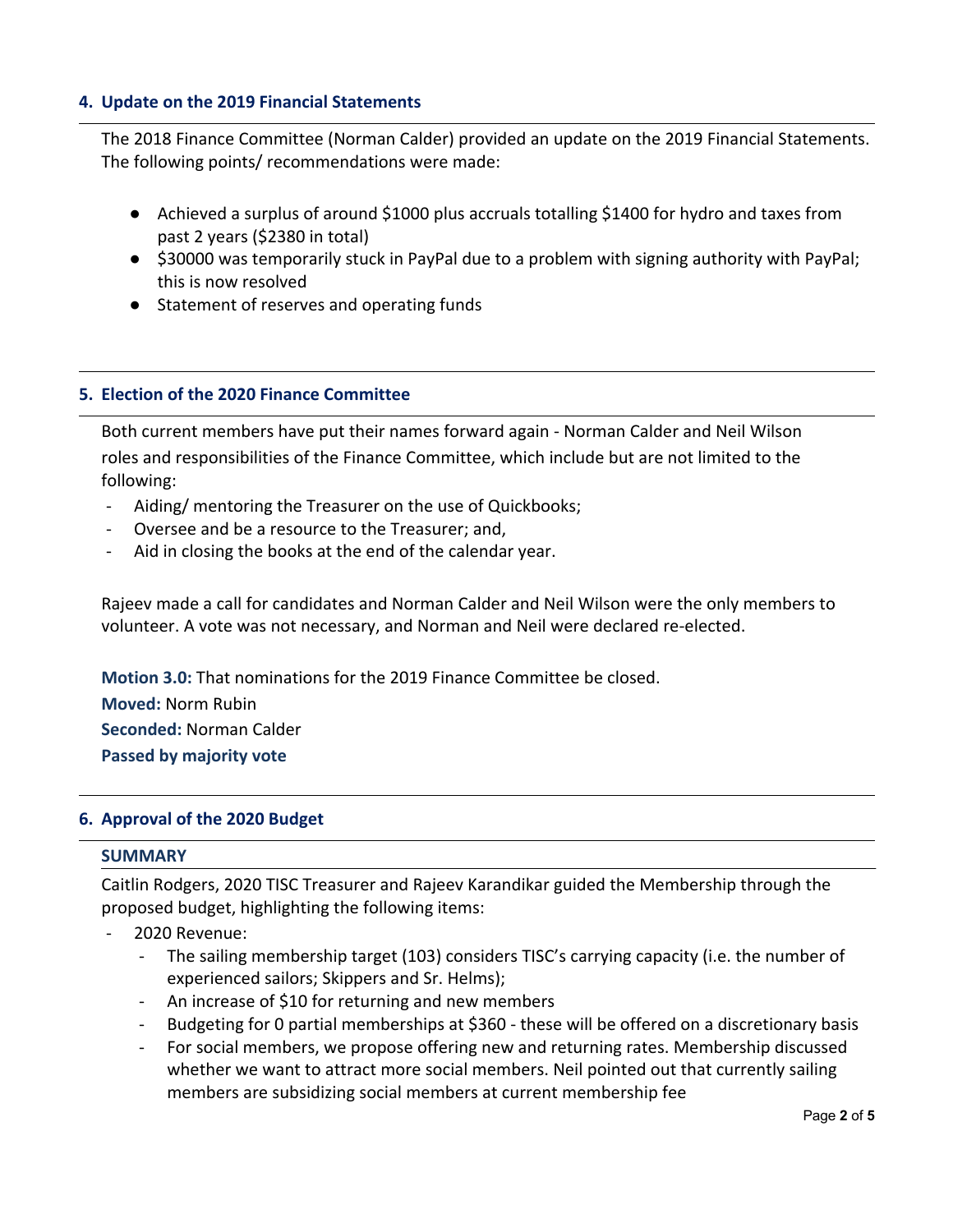# **4. Update on the 2019 Financial Statements**

The 2018 Finance Committee (Norman Calder) provided an update on the 2019 Financial Statements. The following points/ recommendations were made:

- Achieved a surplus of around \$1000 plus accruals totalling \$1400 for hydro and taxes from past 2 years (\$2380 in total)
- \$30000 was temporarily stuck in PayPal due to a problem with signing authority with PayPal; this is now resolved
- Statement of reserves and operating funds

## **5. Election of the 2020 Finance Committee**

Both current members have put their names forward again - Norman Calder and Neil Wilson roles and responsibilities of the Finance Committee, which include but are not limited to the following:

- Aiding/ mentoring the Treasurer on the use of Quickbooks;
- Oversee and be a resource to the Treasurer; and,
- Aid in closing the books at the end of the calendar year.

Rajeev made a call for candidates and Norman Calder and Neil Wilson were the only members to volunteer. A vote was not necessary, and Norman and Neil were declared re-elected.

**Motion 3.0:** That nominations for the 2019 Finance Committee be closed.

**Moved:** Norm Rubin

**Seconded:** Norman Calder

**Passed by majority vote**

### **6. Approval of the 2020 Budget**

### **SUMMARY**

Caitlin Rodgers, 2020 TISC Treasurer and Rajeev Karandikar guided the Membership through the proposed budget, highlighting the following items:

- 2020 Revenue:
	- The sailing membership target (103) considers TISC's carrying capacity (i.e. the number of experienced sailors; Skippers and Sr. Helms);
	- An increase of \$10 for returning and new members
	- Budgeting for 0 partial memberships at \$360 these will be offered on a discretionary basis
	- For social members, we propose offering new and returning rates. Membership discussed whether we want to attract more social members. Neil pointed out that currently sailing members are subsidizing social members at current membership fee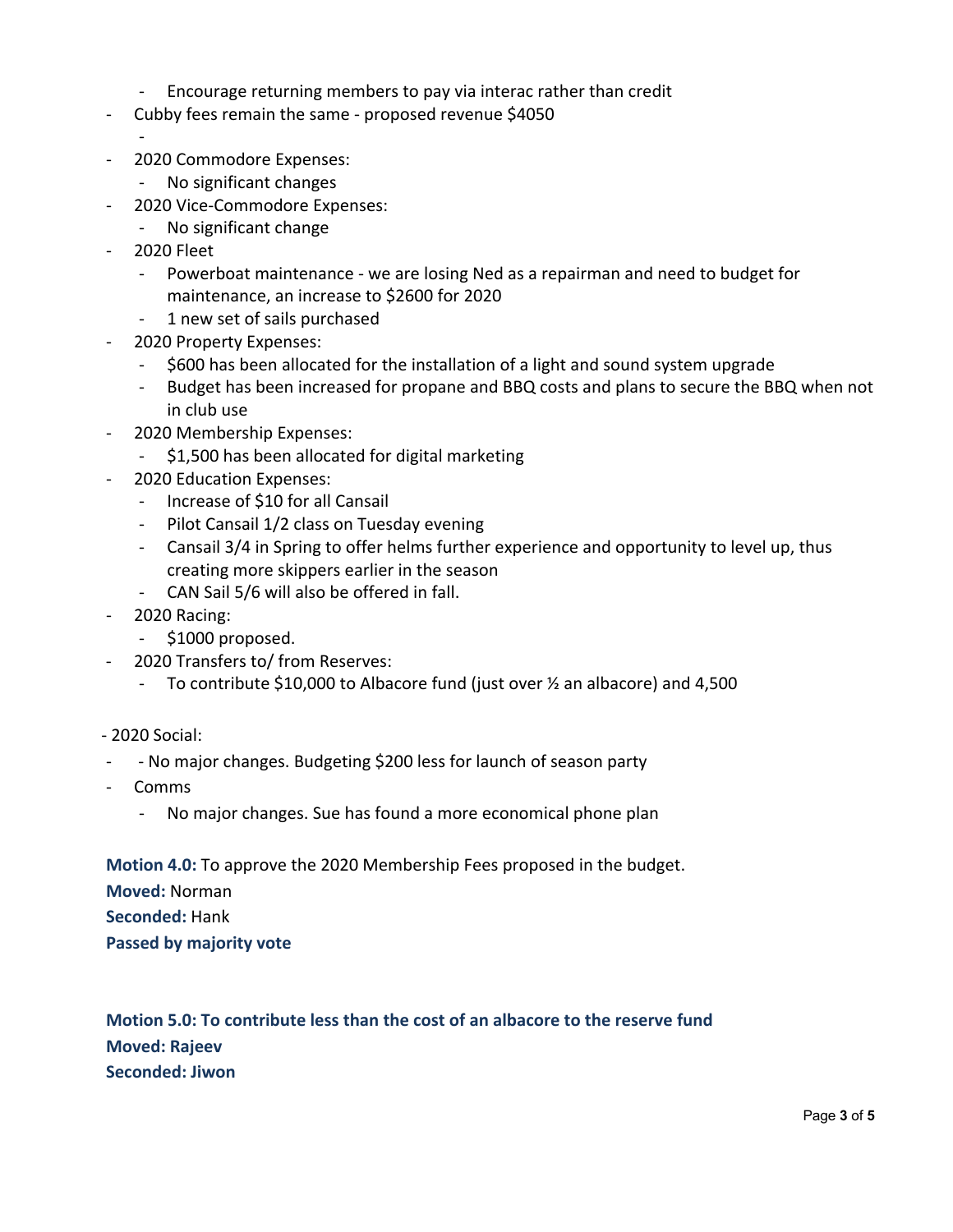- Encourage returning members to pay via interac rather than credit
- Cubby fees remain the same proposed revenue \$4050
	- -
- 2020 Commodore Expenses:
	- No significant changes
- 2020 Vice-Commodore Expenses:
	- No significant change
- 2020 Fleet
	- Powerboat maintenance we are losing Ned as a repairman and need to budget for maintenance, an increase to \$2600 for 2020
	- 1 new set of sails purchased
- 2020 Property Expenses:
	- \$600 has been allocated for the installation of a light and sound system upgrade
	- Budget has been increased for propane and BBQ costs and plans to secure the BBQ when not in club use
- 2020 Membership Expenses:
	- \$1,500 has been allocated for digital marketing
- 2020 Education Expenses:
	- Increase of \$10 for all Cansail
	- Pilot Cansail 1/2 class on Tuesday evening
	- Cansail 3/4 in Spring to offer helms further experience and opportunity to level up, thus creating more skippers earlier in the season
	- CAN Sail 5/6 will also be offered in fall.
- 2020 Racing:
	- \$1000 proposed.
- 2020 Transfers to/ from Reserves:
	- To contribute \$10,000 to Albacore fund (just over ½ an albacore) and 4,500
- 2020 Social:
- - No major changes. Budgeting \$200 less for launch of season party
- Comms
	- No major changes. Sue has found a more economical phone plan

**Motion 4.0:** To approve the 2020 Membership Fees proposed in the budget.

**Moved:** Norman

**Seconded:** Hank

**Passed by majority vote**

**Motion 5.0: To contribute less than the cost of an albacore to the reserve fund Moved: Rajeev Seconded: Jiwon**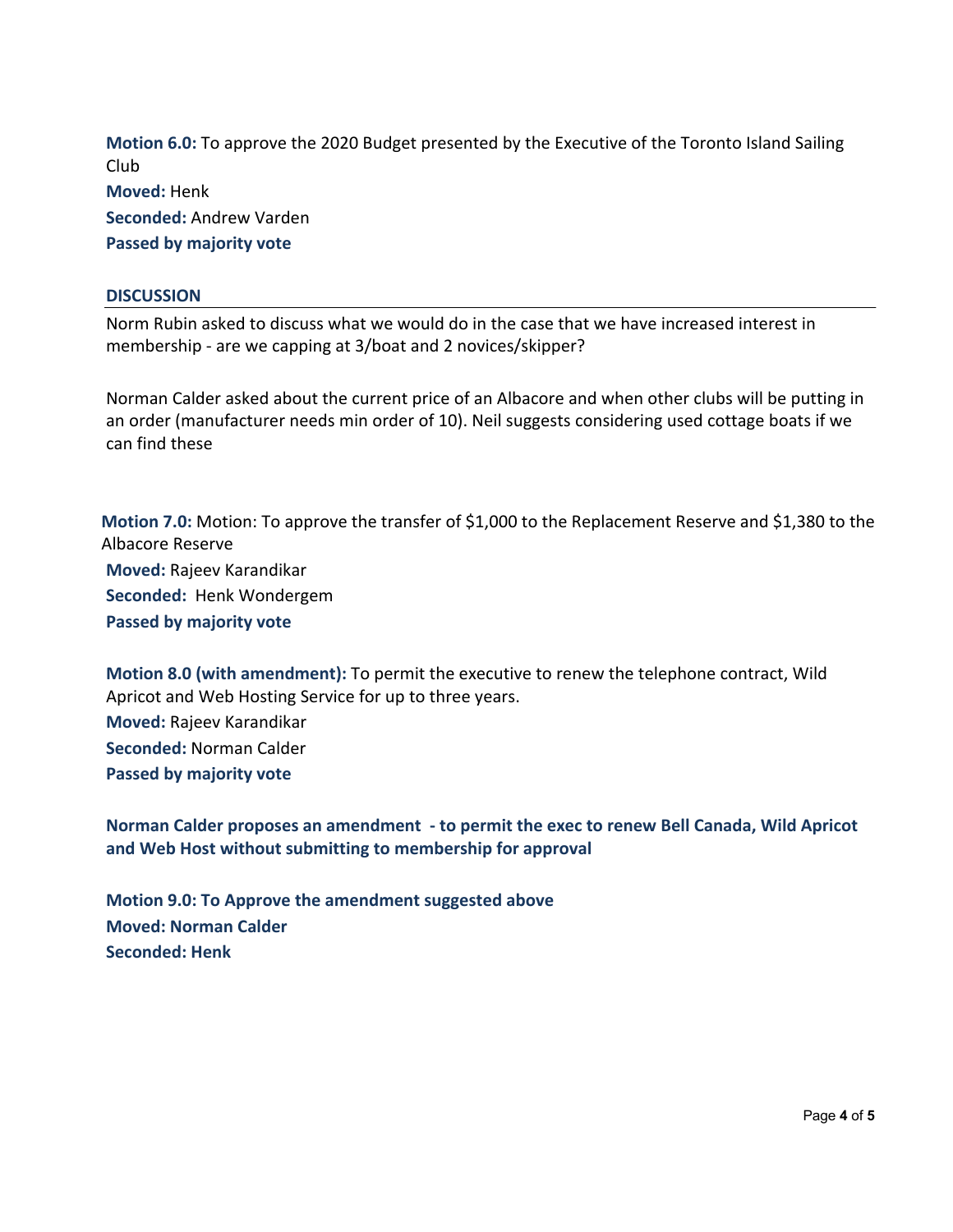**Motion 6.0:** To approve the 2020 Budget presented by the Executive of the Toronto Island Sailing Club **Moved:** Henk **Seconded:** Andrew Varden

**Passed by majority vote**

#### **DISCUSSION**

Norm Rubin asked to discuss what we would do in the case that we have increased interest in membership - are we capping at 3/boat and 2 novices/skipper?

Norman Calder asked about the current price of an Albacore and when other clubs will be putting in an order (manufacturer needs min order of 10). Neil suggests considering used cottage boats if we can find these

**Motion 7.0:** Motion: To approve the transfer of \$1,000 to the Replacement Reserve and \$1,380 to the Albacore Reserve **Moved:** Rajeev Karandikar **Seconded:** Henk Wondergem **Passed by majority vote**

**Motion 8.0 (with amendment):** To permit the executive to renew the telephone contract, Wild Apricot and Web Hosting Service for up to three years. **Moved:** Rajeev Karandikar **Seconded:** Norman Calder **Passed by majority vote**

**Norman Calder proposes an amendment - to permit the exec to renew Bell Canada, Wild Apricot and Web Host without submitting to membership for approval**

**Motion 9.0: To Approve the amendment suggested above Moved: Norman Calder Seconded: Henk**